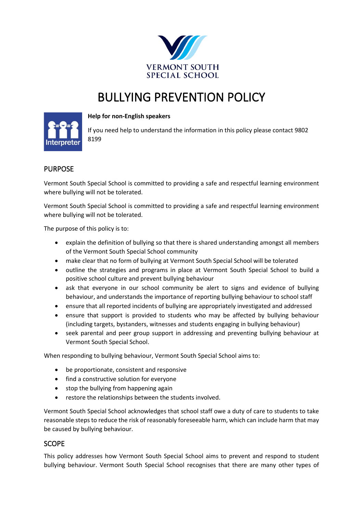

# BULLYING PREVENTION POLICY



#### **Help for non-English speakers**

If you need help to understand the information in this policy please contact 9802 8199

# PURPOSE

Vermont South Special School is committed to providing a safe and respectful learning environment where bullying will not be tolerated.

Vermont South Special School is committed to providing a safe and respectful learning environment where bullying will not be tolerated.

The purpose of this policy is to:

- explain the definition of bullying so that there is shared understanding amongst all members of the Vermont South Special School community
- make clear that no form of bullying at Vermont South Special School will be tolerated
- outline the strategies and programs in place at Vermont South Special School to build a positive school culture and prevent bullying behaviour
- ask that everyone in our school community be alert to signs and evidence of bullying behaviour, and understands the importance of reporting bullying behaviour to school staff
- ensure that all reported incidents of bullying are appropriately investigated and addressed
- ensure that support is provided to students who may be affected by bullying behaviour (including targets, bystanders, witnesses and students engaging in bullying behaviour)
- seek parental and peer group support in addressing and preventing bullying behaviour at Vermont South Special School.

When responding to bullying behaviour, Vermont South Special School aims to:

- be proportionate, consistent and responsive
- find a constructive solution for everyone
- stop the bullying from happening again
- restore the relationships between the students involved.

Vermont South Special School acknowledges that school staff owe a duty of care to students to take reasonable steps to reduce the risk of reasonably foreseeable harm, which can include harm that may be caused by bullying behaviour.

# SCOPE

This policy addresses how Vermont South Special School aims to prevent and respond to student bullying behaviour. Vermont South Special School recognises that there are many other types of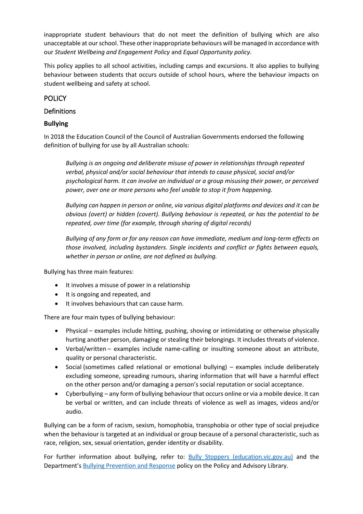inappropriate student behaviours that do not meet the definition of bullying which are also unacceptable at our school. These other inappropriate behaviours will be managed in accordance with our *Student Wellbeing and Engagement Policy* and *Equal Opportunity policy*.

This policy applies to all school activities, including camps and excursions. It also applies to bullying behaviour between students that occurs outside of school hours, where the behaviour impacts on student wellbeing and safety at school.

# **POLICY**

# Definitions

# **Bullying**

In 2018 the Education Council of the Council of Australian Governments endorsed the following definition of bullying for use by all Australian schools:

*Bullying is an ongoing and deliberate misuse of power in relationships through repeated verbal, physical and/or social behaviour that intends to cause physical, social and/or psychological harm. It can involve an individual or a group misusing their power, or perceived power, over one or more persons who feel unable to stop it from happening.*

*Bullying can happen in person or online, via various digital platforms and devices and it can be obvious (overt) or hidden (covert). Bullying behaviour is repeated, or has the potential to be repeated, over time (for example, through sharing of digital records)*

*Bullying of any form or for any reason can have immediate, medium and long-term effects on those involved, including bystanders. Single incidents and conflict or fights between equals, whether in person or online, are not defined as bullying.*

Bullying has three main features:

- It involves a misuse of power in a relationship
- It is ongoing and repeated, and
- It involves behaviours that can cause harm.

There are four main types of bullying behaviour:

- Physical examples include hitting, pushing, shoving or intimidating or otherwise physically hurting another person, damaging or stealing their belongings. It includes threats of violence.
- Verbal/written examples include name-calling or insulting someone about an attribute, quality or personal characteristic.
- Social (sometimes called relational or emotional bullying) examples include deliberately excluding someone, spreading rumours, sharing information that will have a harmful effect on the other person and/or damaging a person's social reputation or social acceptance.
- Cyberbullying any form of bullying behaviour that occurs online or via a mobile device. It can be verbal or written, and can include threats of violence as well as images, videos and/or audio.

Bullying can be a form of racism, sexism, homophobia, transphobia or other type of social prejudice when the behaviour is targeted at an individual or group because of a personal characteristic, such as race, religion, sex, sexual orientation, gender identity or disability.

For further information about bullying, refer to: **[Bully Stoppers \(education.vic.gov.au\)](https://www.education.vic.gov.au/about/programs/bullystoppers/Pages/default.aspx)** and the Department's [Bullying Prevention and Response](https://www2.education.vic.gov.au/pal/bullying-prevention-response/policy) policy on the Policy and Advisory Library.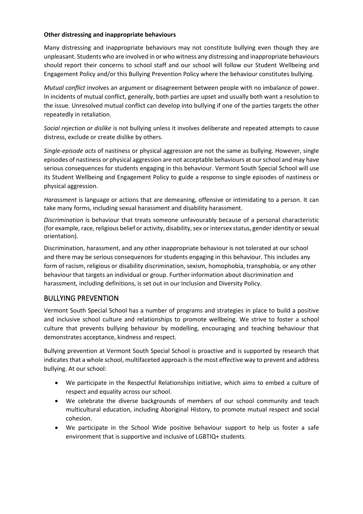#### **Other distressing and inappropriate behaviours**

Many distressing and inappropriate behaviours may not constitute bullying even though they are unpleasant. Students who are involved in or who witness any distressing and inappropriate behaviours should report their concerns to school staff and our school will follow our Student Wellbeing and Engagement Policy and/or this Bullying Prevention Policy where the behaviour constitutes bullying.

*Mutual conflict* involves an argument or disagreement between people with no imbalance of power. In incidents of mutual conflict, generally, both parties are upset and usually both want a resolution to the issue. Unresolved mutual conflict can develop into bullying if one of the parties targets the other repeatedly in retaliation.

*Social rejection or dislike* is not bullying unless it involves deliberate and repeated attempts to cause distress, exclude or create dislike by others.

*Single-episode acts* of nastiness or physical aggression are not the same as bullying. However, single episodes of nastiness or physical aggression are not acceptable behaviours at our school and may have serious consequences for students engaging in this behaviour. Vermont South Special School will use its Student Wellbeing and Engagement Policy to guide a response to single episodes of nastiness or physical aggression.

*Harassment* is language or actions that are demeaning, offensive or intimidating to a person. It can take many forms, including sexual harassment and disability harassment.

*Discrimination* is behaviour that treats someone unfavourably because of a personal characteristic (for example, race, religious belief or activity, disability, sex or intersex status, gender identity or sexual orientation).

Discrimination, harassment, and any other inappropriate behaviour is not tolerated at our school and there may be serious consequences for students engaging in this behaviour. This includes any form of racism, religious or disability discrimination, sexism, homophobia, transphobia, or any other behaviour that targets an individual or group. Further information about discrimination and harassment, including definitions, is set out in our Inclusion and Diversity Policy.

## BULLYING PREVENTION

Vermont South Special School has a number of programs and strategies in place to build a positive and inclusive school culture and relationships to promote wellbeing. We strive to foster a school culture that prevents bullying behaviour by modelling, encouraging and teaching behaviour that demonstrates acceptance, kindness and respect.

Bullying prevention at Vermont South Special School is proactive and is supported by research that indicates that a whole school, multifaceted approach is the most effective way to prevent and address bullying. At our school:

- We participate in the Respectful Relationships initiative, which aims to embed a culture of respect and equality across our school.
- We celebrate the diverse backgrounds of members of our school community and teach multicultural education, including Aboriginal History, to promote mutual respect and social cohesion.
- We participate in the School Wide positive behaviour support to help us foster a safe environment that is supportive and inclusive of LGBTIQ+ students.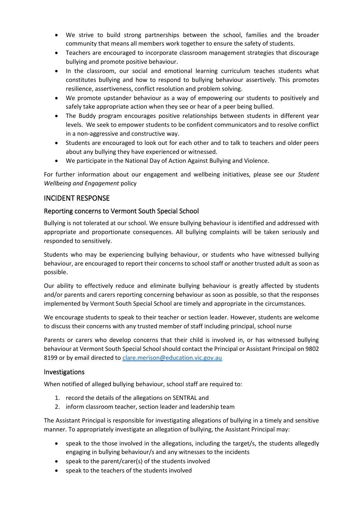- We strive to build strong partnerships between the school, families and the broader community that means all members work together to ensure the safety of students.
- Teachers are encouraged to incorporate classroom management strategies that discourage bullying and promote positive behaviour.
- In the classroom, our social and emotional learning curriculum teaches students what constitutes bullying and how to respond to bullying behaviour assertively. This promotes resilience, assertiveness, conflict resolution and problem solving.
- We promote upstander behaviour as a way of empowering our students to positively and safely take appropriate action when they see or hear of a peer being bullied.
- The Buddy program encourages positive relationships between students in different year levels. We seek to empower students to be confident communicators and to resolve conflict in a non-aggressive and constructive way.
- Students are encouraged to look out for each other and to talk to teachers and older peers about any bullying they have experienced or witnessed.
- We participate in the National Day of Action Against Bullying and Violence.

For further information about our engagement and wellbeing initiatives, please see our *Student Wellbeing and Engagement* policy

## INCIDENT RESPONSE

#### Reporting concerns to Vermont South Special School

Bullying is not tolerated at our school. We ensure bullying behaviour is identified and addressed with appropriate and proportionate consequences. All bullying complaints will be taken seriously and responded to sensitively.

Students who may be experiencing bullying behaviour, or students who have witnessed bullying behaviour, are encouraged to report their concerns to school staff or another trusted adult as soon as possible.

Our ability to effectively reduce and eliminate bullying behaviour is greatly affected by students and/or parents and carers reporting concerning behaviour as soon as possible, so that the responses implemented by Vermont South Special School are timely and appropriate in the circumstances.

We encourage students to speak to their teacher or section leader. However, students are welcome to discuss their concerns with any trusted member of staff including principal, school nurse

Parents or carers who develop concerns that their child is involved in, or has witnessed bullying behaviour at Vermont South Special School should contact the Principal or Assistant Principal on 9802 8199 or by email directed to [clare.merison@education.vic.gov.au](mailto:clare.merison@education.vic.gov.au)

#### Investigations

When notified of alleged bullying behaviour, school staff are required to:

- 1. record the details of the allegations on SENTRAL and
- 2. inform classroom teacher, section leader and leadership team

The Assistant Principal is responsible for investigating allegations of bullying in a timely and sensitive manner. To appropriately investigate an allegation of bullying, the Assistant Principal may:

- speak to the those involved in the allegations, including the target/s, the students allegedly engaging in bullying behaviour/s and any witnesses to the incidents
- speak to the parent/carer(s) of the students involved
- speak to the teachers of the students involved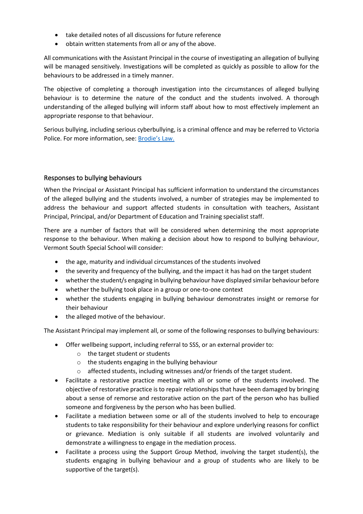- take detailed notes of all discussions for future reference
- obtain written statements from all or any of the above.

All communications with the Assistant Principal in the course of investigating an allegation of bullying will be managed sensitively. Investigations will be completed as quickly as possible to allow for the behaviours to be addressed in a timely manner.

The objective of completing a thorough investigation into the circumstances of alleged bullying behaviour is to determine the nature of the conduct and the students involved. A thorough understanding of the alleged bullying will inform staff about how to most effectively implement an appropriate response to that behaviour.

Serious bullying, including serious cyberbullying, is a criminal offence and may be referred to Victoria Police. For more information, see: [Brodie's](http://www.education.vic.gov.au/about/programs/bullystoppers/Pages/advicesheetbrodieslaw.aspx) Law.

#### Responses to bullying behaviours

When the Principal or Assistant Principal has sufficient information to understand the circumstances of the alleged bullying and the students involved, a number of strategies may be implemented to address the behaviour and support affected students in consultation with teachers, Assistant Principal, Principal, and/or Department of Education and Training specialist staff.

There are a number of factors that will be considered when determining the most appropriate response to the behaviour. When making a decision about how to respond to bullying behaviour, Vermont South Special School will consider:

- the age, maturity and individual circumstances of the students involved
- the severity and frequency of the bullying, and the impact it has had on the target student
- whether the student/s engaging in bullying behaviour have displayed similar behaviour before
- whether the bullying took place in a group or one-to-one context
- whether the students engaging in bullying behaviour demonstrates insight or remorse for their behaviour
- the alleged motive of the behaviour.

The Assistant Principal may implement all, or some of the following responses to bullying behaviours:

- Offer wellbeing support, including referral to SSS, or an external provider to:
	- o the target student or students
	- o the students engaging in the bullying behaviour
	- $\circ$  affected students, including witnesses and/or friends of the target student.
- Facilitate a restorative practice meeting with all or some of the students involved. The objective of restorative practice is to repair relationships that have been damaged by bringing about a sense of remorse and restorative action on the part of the person who has bullied someone and forgiveness by the person who has been bullied.
- Facilitate a mediation between some or all of the students involved to help to encourage students to take responsibility for their behaviour and explore underlying reasons for conflict or grievance. Mediation is only suitable if all students are involved voluntarily and demonstrate a willingness to engage in the mediation process.
- Facilitate a process using the Support Group Method, involving the target student(s), the students engaging in bullying behaviour and a group of students who are likely to be supportive of the target(s).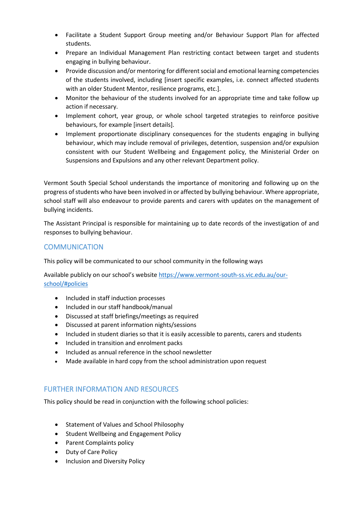- Facilitate a Student Support Group meeting and/or Behaviour Support Plan for affected students.
- Prepare an Individual Management Plan restricting contact between target and students engaging in bullying behaviour.
- Provide discussion and/or mentoring for different social and emotional learning competencies of the students involved, including [insert specific examples, i.e. connect affected students with an older Student Mentor, resilience programs, etc.].
- Monitor the behaviour of the students involved for an appropriate time and take follow up action if necessary.
- Implement cohort, year group, or whole school targeted strategies to reinforce positive behaviours, for example [insert details].
- Implement proportionate disciplinary consequences for the students engaging in bullying behaviour, which may include removal of privileges, detention, suspension and/or expulsion consistent with our Student Wellbeing and Engagement policy, the Ministerial Order on Suspensions and Expulsions and any other relevant Department policy.

Vermont South Special School understands the importance of monitoring and following up on the progress of students who have been involved in or affected by bullying behaviour. Where appropriate, school staff will also endeavour to provide parents and carers with updates on the management of bullying incidents.

The Assistant Principal is responsible for maintaining up to date records of the investigation of and responses to bullying behaviour.

# COMMUNICATION

This policy will be communicated to our school community in the following ways

Available publicly on our school's website [https://www.vermont-south-ss.vic.edu.au/our](https://aus01.safelinks.protection.outlook.com/?url=https%3A%2F%2Fwww.vermont-south-ss.vic.edu.au%2Four-school%2F%23policies&data=05%7C01%7CClare.Merison%40education.vic.gov.au%7C6ba670ff511f4f532adb08da3c59d660%7Cd96cb3371a8744cfb69b3cec334a4c1f%7C0%7C0%7C637888653783038577%7CUnknown%7CTWFpbGZsb3d8eyJWIjoiMC4wLjAwMDAiLCJQIjoiV2luMzIiLCJBTiI6Ik1haWwiLCJXVCI6Mn0%3D%7C3000%7C%7C%7C&sdata=BaAWZu4g1EDS3fOONNzckC9xj1gZliD8ihThQNRpZ2A%3D&reserved=0)[school/#policies](https://aus01.safelinks.protection.outlook.com/?url=https%3A%2F%2Fwww.vermont-south-ss.vic.edu.au%2Four-school%2F%23policies&data=05%7C01%7CClare.Merison%40education.vic.gov.au%7C6ba670ff511f4f532adb08da3c59d660%7Cd96cb3371a8744cfb69b3cec334a4c1f%7C0%7C0%7C637888653783038577%7CUnknown%7CTWFpbGZsb3d8eyJWIjoiMC4wLjAwMDAiLCJQIjoiV2luMzIiLCJBTiI6Ik1haWwiLCJXVCI6Mn0%3D%7C3000%7C%7C%7C&sdata=BaAWZu4g1EDS3fOONNzckC9xj1gZliD8ihThQNRpZ2A%3D&reserved=0)

- Included in staff induction processes
- Included in our staff handbook/manual
- Discussed at staff briefings/meetings as required
- Discussed at parent information nights/sessions
- Included in student diaries so that it is easily accessible to parents, carers and students
- Included in transition and enrolment packs
- Included as annual reference in the school newsletter
- Made available in hard copy from the school administration upon request

# FURTHER INFORMATION AND RESOURCES

This policy should be read in conjunction with the following school policies:

- Statement of Values and School Philosophy
- Student Wellbeing and Engagement Policy
- Parent Complaints policy
- Duty of Care Policy
- Inclusion and Diversity Policy